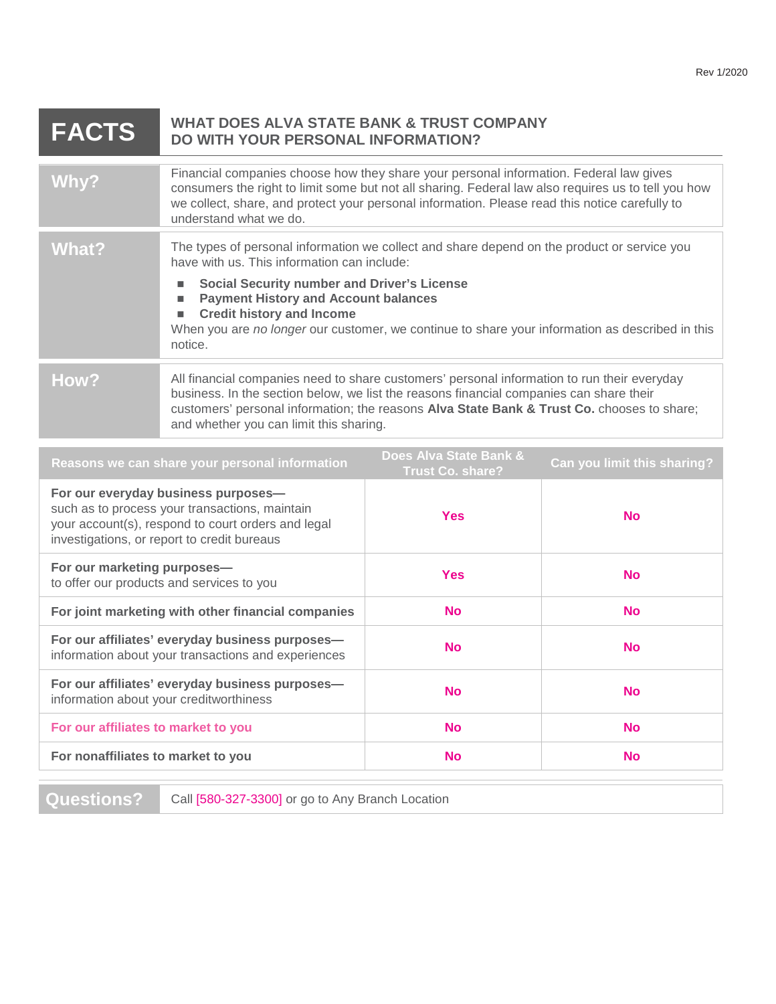| <b>FACTS</b> | <b>WHAT DOES ALVA STATE BANK &amp; TRUST COMPANY</b><br>DO WITH YOUR PERSONAL INFORMATION?                                                                                                                                                                                                                                                                                                                                    |
|--------------|-------------------------------------------------------------------------------------------------------------------------------------------------------------------------------------------------------------------------------------------------------------------------------------------------------------------------------------------------------------------------------------------------------------------------------|
| Why?         | Financial companies choose how they share your personal information. Federal law gives<br>consumers the right to limit some but not all sharing. Federal law also requires us to tell you how<br>we collect, share, and protect your personal information. Please read this notice carefully to<br>understand what we do.                                                                                                     |
| What?        | The types of personal information we collect and share depend on the product or service you<br>have with us. This information can include:<br><b>Social Security number and Driver's License</b><br>ш<br><b>Payment History and Account balances</b><br>ш<br><b>Credit history and Income</b><br>$\blacksquare$<br>When you are no longer our customer, we continue to share your information as described in this<br>notice. |
| How?         | All financial companies need to share customers' personal information to run their everyday<br>business. In the section below, we list the reasons financial companies can share their<br>customers' personal information; the reasons Alva State Bank & Trust Co. chooses to share;<br>and whether you can limit this sharing.                                                                                               |

| For our everyday business purposes-<br>such as to process your transactions, maintain<br><b>Yes</b><br><b>No</b><br>your account(s), respond to court orders and legal<br>investigations, or report to credit bureaus<br>For our marketing purposes-<br><b>Yes</b><br><b>No</b><br>to offer our products and services to you<br>For joint marketing with other financial companies<br><b>No</b><br><b>No</b><br>For our affiliates' everyday business purposes-<br><b>No</b><br><b>No</b><br>information about your transactions and experiences<br>For our affiliates' everyday business purposes-<br><b>No</b><br><b>No</b><br>information about your creditworthiness<br><b>No</b><br>For our affiliates to market to you<br><b>No</b><br>For nonaffiliates to market to you<br><b>No</b><br><b>No</b> | Reasons we can share your personal information | Does Alva State Bank &<br><b>Trust Co. share?</b> | Can you limit this sharing? |
|-----------------------------------------------------------------------------------------------------------------------------------------------------------------------------------------------------------------------------------------------------------------------------------------------------------------------------------------------------------------------------------------------------------------------------------------------------------------------------------------------------------------------------------------------------------------------------------------------------------------------------------------------------------------------------------------------------------------------------------------------------------------------------------------------------------|------------------------------------------------|---------------------------------------------------|-----------------------------|
|                                                                                                                                                                                                                                                                                                                                                                                                                                                                                                                                                                                                                                                                                                                                                                                                           |                                                |                                                   |                             |
|                                                                                                                                                                                                                                                                                                                                                                                                                                                                                                                                                                                                                                                                                                                                                                                                           |                                                |                                                   |                             |
|                                                                                                                                                                                                                                                                                                                                                                                                                                                                                                                                                                                                                                                                                                                                                                                                           |                                                |                                                   |                             |
|                                                                                                                                                                                                                                                                                                                                                                                                                                                                                                                                                                                                                                                                                                                                                                                                           |                                                |                                                   |                             |
|                                                                                                                                                                                                                                                                                                                                                                                                                                                                                                                                                                                                                                                                                                                                                                                                           |                                                |                                                   |                             |
|                                                                                                                                                                                                                                                                                                                                                                                                                                                                                                                                                                                                                                                                                                                                                                                                           |                                                |                                                   |                             |
|                                                                                                                                                                                                                                                                                                                                                                                                                                                                                                                                                                                                                                                                                                                                                                                                           |                                                |                                                   |                             |

**Questions?** Call [580-327-3300] or go to Any Branch Location